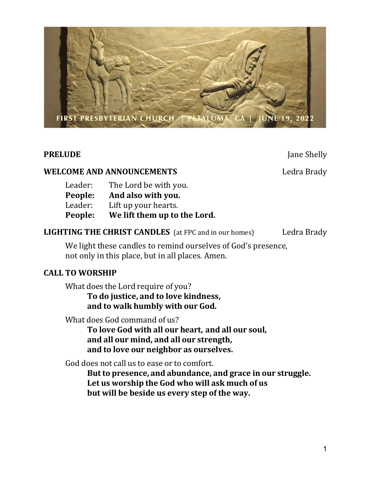

**PRELUDE** Jane Shelly

# WELCOME AND ANNOUNCEMENTS Ledra Brady

| Leader: | The Lord be with you.        |
|---------|------------------------------|
| People: | And also with you.           |
| Leader: | Lift up your hearts.         |
| People: | We lift them up to the Lord. |

# LIGHTING THE CHRIST CANDLES (at FPC and in our homes) Ledra Brady

We light these candles to remind ourselves of God's presence, not only in this place, but in all places. Amen.

## CALL TO WORSHIP

What does the Lord require of you?

 To do justice, and to love kindness, and to walk humbly with our God.

What does God command of us?

 To love God with all our heart, and all our soul, and all our mind, and all our strength, and to love our neighbor as ourselves.

God does not call us to ease or to comfort.

 But to presence, and abundance, and grace in our struggle. Let us worship the God who will ask much of us but will be beside us every step of the way.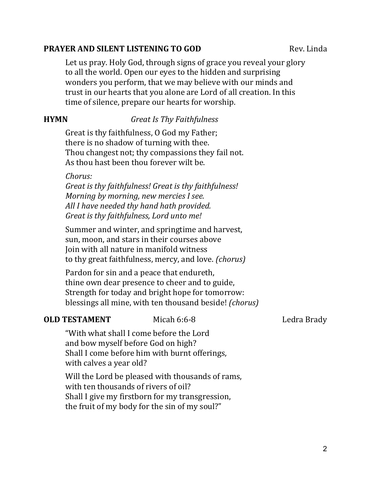# **PRAYER AND SILENT LISTENING TO GOD Rev. Linda**

Let us pray. Holy God, through signs of grace you reveal your glory to all the world. Open our eyes to the hidden and surprising wonders you perform, that we may believe with our minds and trust in our hearts that you alone are Lord of all creation. In this time of silence, prepare our hearts for worship.

# **HYMN** Great Is Thy Faithfulness

Great is thy faithfulness, O God my Father; there is no shadow of turning with thee. Thou changest not; thy compassions they fail not. As thou hast been thou forever wilt be.

## Chorus:

Great is thy faithfulness! Great is thy faithfulness! Morning by morning, new mercies I see. All I have needed thy hand hath provided. Great is thy faithfulness, Lord unto me!

Summer and winter, and springtime and harvest, sun, moon, and stars in their courses above Join with all nature in manifold witness to thy great faithfulness, mercy, and love. (chorus)

Pardon for sin and a peace that endureth, thine own dear presence to cheer and to guide, Strength for today and bright hope for tomorrow: blessings all mine, with ten thousand beside! (chorus)

# **OLD TESTAMENT** Micah 6:6-8 Ledra Brady

"With what shall I come before the Lord and bow myself before God on high? Shall I come before him with burnt offerings, with calves a year old?

Will the Lord be pleased with thousands of rams, with ten thousands of rivers of oil? Shall I give my firstborn for my transgression, the fruit of my body for the sin of my soul?"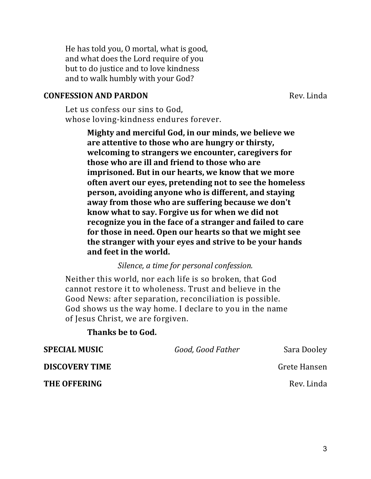He has told you, O mortal, what is good, and what does the Lord require of you but to do justice and to love kindness and to walk humbly with your God?

### **CONFESSION AND PARDON** Rev. Linda

Let us confess our sins to God, whose loving-kindness endures forever.

> Mighty and merciful God, in our minds, we believe we are attentive to those who are hungry or thirsty, welcoming to strangers we encounter, caregivers for those who are ill and friend to those who are imprisoned. But in our hearts, we know that we more often avert our eyes, pretending not to see the homeless person, avoiding anyone who is different, and staying away from those who are suffering because we don't know what to say. Forgive us for when we did not recognize you in the face of a stranger and failed to care for those in need. Open our hearts so that we might see the stranger with your eyes and strive to be your hands and feet in the world.

> > Silence, a time for personal confession.

Neither this world, nor each life is so broken, that God cannot restore it to wholeness. Trust and believe in the Good News: after separation, reconciliation is possible. God shows us the way home. I declare to you in the name of Jesus Christ, we are forgiven.

# Thanks be to God.

| <b>SPECIAL MUSIC</b>  | Good, Good Father | Sara Dooley  |  |
|-----------------------|-------------------|--------------|--|
| <b>DISCOVERY TIME</b> |                   | Grete Hansen |  |
| <b>THE OFFERING</b>   |                   | Rev. Linda   |  |
|                       |                   |              |  |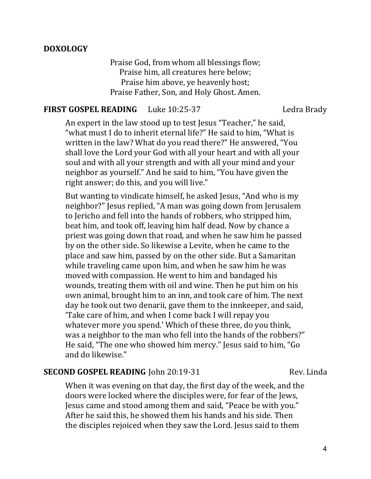## DOXOLOGY

Praise God, from whom all blessings flow; Praise him, all creatures here below; Praise him above, ye heavenly host; Praise Father, Son, and Holy Ghost. Amen.

#### FIRST GOSPEL READING Luke 10:25-37 Ledra Brady

An expert in the law stood up to test Jesus "Teacher," he said, "what must I do to inherit eternal life?" He said to him, "What is written in the law? What do you read there?" He answered, "You shall love the Lord your God with all your heart and with all your soul and with all your strength and with all your mind and your neighbor as yourself." And he said to him, "You have given the right answer; do this, and you will live."

But wanting to vindicate himself, he asked Jesus, "And who is my neighbor?" Jesus replied, "A man was going down from Jerusalem to Jericho and fell into the hands of robbers, who stripped him, beat him, and took off, leaving him half dead. Now by chance a priest was going down that road, and when he saw him he passed by on the other side. So likewise a Levite, when he came to the place and saw him, passed by on the other side. But a Samaritan while traveling came upon him, and when he saw him he was moved with compassion. He went to him and bandaged his wounds, treating them with oil and wine. Then he put him on his own animal, brought him to an inn, and took care of him. The next day he took out two denarii, gave them to the innkeeper, and said, 'Take care of him, and when I come back I will repay you whatever more you spend.' Which of these three, do you think, was a neighbor to the man who fell into the hands of the robbers?" He said, "The one who showed him mercy." Jesus said to him, "Go and do likewise."

# SECOND GOSPEL READING John 20:19-31 Rev. Linda

When it was evening on that day, the first day of the week, and the doors were locked where the disciples were, for fear of the Jews, Jesus came and stood among them and said, "Peace be with you." After he said this, he showed them his hands and his side. Then the disciples rejoiced when they saw the Lord. Jesus said to them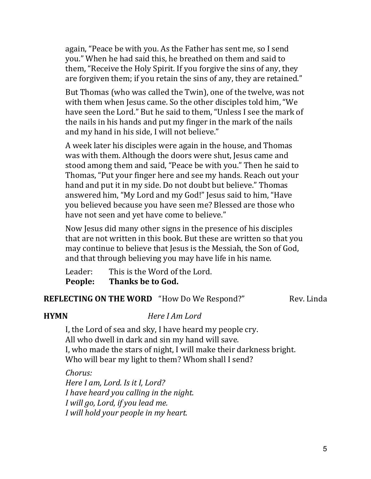again, "Peace be with you. As the Father has sent me, so I send you." When he had said this, he breathed on them and said to them, "Receive the Holy Spirit. If you forgive the sins of any, they are forgiven them; if you retain the sins of any, they are retained."

But Thomas (who was called the Twin), one of the twelve, was not with them when Jesus came. So the other disciples told him, "We have seen the Lord." But he said to them, "Unless I see the mark of the nails in his hands and put my finger in the mark of the nails and my hand in his side, I will not believe."

A week later his disciples were again in the house, and Thomas was with them. Although the doors were shut, Jesus came and stood among them and said, "Peace be with you." Then he said to Thomas, "Put your finger here and see my hands. Reach out your hand and put it in my side. Do not doubt but believe." Thomas answered him, "My Lord and my God!" Jesus said to him, "Have you believed because you have seen me? Blessed are those who have not seen and yet have come to believe."

Now Jesus did many other signs in the presence of his disciples that are not written in this book. But these are written so that you may continue to believe that Jesus is the Messiah, the Son of God, and that through believing you may have life in his name.

Leader: This is the Word of the Lord. People: Thanks be to God.

### REFLECTING ON THE WORD "How Do We Respond?" Rev. Linda

### HYMN Here I Am Lord

I, the Lord of sea and sky, I have heard my people cry. All who dwell in dark and sin my hand will save. I, who made the stars of night, I will make their darkness bright. Who will bear my light to them? Whom shall I send?

Chorus: Here I am, Lord. Is it I, Lord? I have heard you calling in the night. I will go, Lord, if you lead me. I will hold your people in my heart.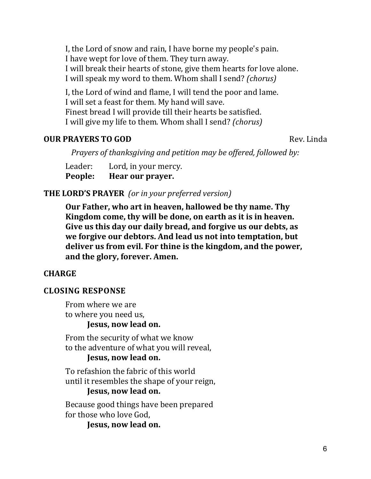I, the Lord of snow and rain, I have borne my people's pain. I have wept for love of them. They turn away. I will break their hearts of stone, give them hearts for love alone. I will speak my word to them. Whom shall I send? (chorus)

I, the Lord of wind and flame, I will tend the poor and lame. I will set a feast for them. My hand will save. Finest bread I will provide till their hearts be satisfied. I will give my life to them. Whom shall I send? (chorus)

# **OUR PRAYERS TO GOD** Rev. Linda

Prayers of thanksgiving and petition may be offered, followed by:

Leader: Lord, in your mercy. People: Hear our prayer.

# THE LORD'S PRAYER (or in your preferred version)

Our Father, who art in heaven, hallowed be thy name. Thy Kingdom come, thy will be done, on earth as it is in heaven. Give us this day our daily bread, and forgive us our debts, as we forgive our debtors. And lead us not into temptation, but deliver us from evil. For thine is the kingdom, and the power, and the glory, forever. Amen.

# **CHARGE**

# CLOSING RESPONSE

From where we are to where you need us, Jesus, now lead on.

From the security of what we know to the adventure of what you will reveal,

## Jesus, now lead on.

To refashion the fabric of this world until it resembles the shape of your reign,

# Jesus, now lead on.

Because good things have been prepared for those who love God,

Jesus, now lead on.